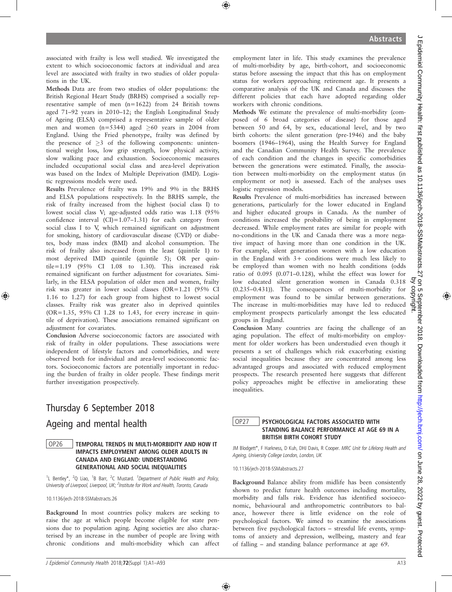associated with frailty is less well studied. We investigated the extent to which socioeconomic factors at individual and area level are associated with frailty in two studies of older populations in the UK.

Methods Data are from two studies of older populations: the British Regional Heart Study (BRHS) comprised a socially representative sample of men (n=1622) from 24 British towns aged 71–92 years in 2010–12; the English Longitudinal Study of Ageing (ELSA) comprised a representative sample of older men and women (n=5344) aged  $\geq 60$  years in 2004 from England. Using the Fried phenotype, frailty was defined by the presence of  $\geq$ 3 of the following components: unintentional weight loss, low grip strength, low physical activity, slow walking pace and exhaustion. Socioeconomic measures included occupational social class and area-level deprivation was based on the Index of Multiple Deprivation (IMD). Logistic regressions models were used.

Results Prevalence of frailty was 19% and 9% in the BRHS and ELSA populations respectively. In the BRHS sample, the risk of frailty increased from the highest (social class I) to lowest social class V; age-adjusted odds ratio was 1.18 (95% confidence interval (CI)=1.07–1.31) for each category from social class I to V, which remained significant on adjustment for smoking, history of cardiovascular disease (CVD) or diabetes, body mass index (BMI) and alcohol consumption. The risk of frailty also increased from the least (quintile 1) to most deprived IMD quintile (quintile 5); OR per quin $tile=1.19$  (95% CI 1.08 to 1.30). This increased risk remained significant on further adjustment for covariates. Similarly, in the ELSA population of older men and women, frailty risk was greater in lower social classes (OR=1.21 (95% CI 1.16 to 1.27) for each group from highest to lowest social classes. Frailty risk was greater also in deprived quintiles (OR=1.35, 95% CI 1.28 to 1.43, for every increase in quintile of deprivation). These associations remained significant on adjustment for covariates.

Conclusion Adverse socioeconomic factors are associated with risk of frailty in older populations. These associations were independent of lifestyle factors and comorbidities, and were observed both for individual and area-level socioeconomic factors. Socioeconomic factors are potentially important in reducing the burden of frailty in older people. These findings merit further investigation prospectively.

# Thursday 6 September 2018 Ageing and mental health

## OP26 TEMPORAL TRENDS IN MULTI-MORBIDITY AND HOW IT IMPACTS EMPLOYMENT AMONG OLDER ADULTS IN CANADA AND ENGLAND: UNDERSTANDING GENERATIONAL AND SOCIAL INEQUALITIES

<sup>1</sup>L Bentley\*, <sup>2</sup>Q Liao, <sup>1</sup>B Barr, <sup>2</sup>C Mustard. <sup>1</sup>Department of Public Health and Policy, University of Liverpool, Liverpool, UK; <sup>2</sup>Institute for Work and Health, Toronto, Canada

10.1136/jech-2018-SSMabstracts.26

Background In most countries policy makers are seeking to raise the age at which people become eligible for state pensions due to population aging. Aging societies are also characterised by an increase in the number of people are living with chronic conditions and multi-morbidity which can affect employment later in life. This study examines the prevalence of multi-morbidity by age, birth-cohort, and socioeconomic status before assessing the impact that this has on employment status for workers approaching retirement age. It presents a comparative analysis of the UK and Canada and discusses the different policies that each have adopted regarding older workers with chronic conditions.

Methods We estimate the prevalence of multi-morbidity (composed of 6 broad categories of disease) for those aged between 50 and 64, by sex, educational level, and by two birth cohorts: the silent generation (pre-1946) and the baby boomers (1946–1964), using the Health Survey for England and the Canadian Community Health Survey. The prevalence of each condition and the changes in specific comorbidities between the generations were estimated. Finally, the association between multi-morbidity on the employment status (in employment or not) is assessed. Each of the analyses uses logistic regression models.

Results Prevalence of multi-morbidities has increased between generations, particularly for the lower educated in England and higher educated groups in Canada. As the number of conditions increased the probability of being in employment decreased. While employment rates are similar for people with no-conditions in the UK and Canada there was a more negative impact of having more than one condition in the UK. For example, silent generation women with a low education in the England with 3+ conditions were much less likely to be employed than women with no health conditions (odds ratio of 0.095 (0.071–0.128), whilst the effect was lower for low educated silent generation women in Canada 0.318 (0.235–0.431)). The consequences of multi-morbidity for employment was found to be similar between generations. The increase in multi-morbidities may have led to reduced employment prospects particularly amongst the less educated groups in England.

Conclusion Many countries are facing the challenge of an aging population. The effect of multi-morbidity on employment for older workers has been understudied even though it presents a set of challenges which risk exacerbating existing social inequalities because they are concentrated among less advantaged groups and associated with reduced employment prospects. The research presented here suggests that different policy approaches might be effective in ameliorating these inequalities.

## OP27 PSYCHOLOGICAL FACTORS ASSOCIATED WITH STANDING BALANCE PERFORMANCE AT AGE 69 IN A BRITISH BIRTH COHORT STUDY

JM Blodgett\*, F Harkness, D Kuh, DHJ Davis, R Cooper. MRC Unit for Lifelong Health and Ageing, University College London, London, UK

10.1136/jech-2018-SSMabstracts.27

Background Balance ability from midlife has been consistently shown to predict future health outcomes including mortality, morbidity and falls risk. Evidence has identified socioeconomic, behavioural and anthropometric contributors to balance, however there is little evidence on the role of psychological factors. We aimed to examine the associations between five psychological factors – stressful life events, symptoms of anxiety and depression, wellbeing, mastery and fear of falling – and standing balance performance at age 69.